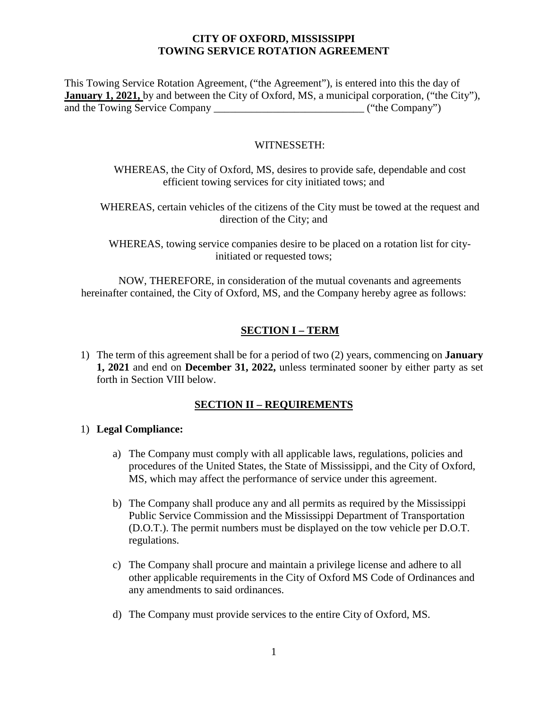This Towing Service Rotation Agreement, ("the Agreement"), is entered into this the day of **January 1, 2021,** by and between the City of Oxford, MS, a municipal corporation, ("the City"), and the Towing Service Company \_\_\_\_\_\_\_\_\_\_\_\_\_\_\_\_\_\_\_\_\_\_\_\_\_\_\_\_ ("the Company")

#### WITNESSETH:

WHEREAS, the City of Oxford, MS, desires to provide safe, dependable and cost efficient towing services for city initiated tows; and

WHEREAS, certain vehicles of the citizens of the City must be towed at the request and direction of the City; and

WHEREAS, towing service companies desire to be placed on a rotation list for cityinitiated or requested tows;

NOW, THEREFORE, in consideration of the mutual covenants and agreements hereinafter contained, the City of Oxford, MS, and the Company hereby agree as follows:

## **SECTION I – TERM**

1) The term of this agreement shall be for a period of two (2) years, commencing on **January 1, 2021** and end on **December 31, 2022,** unless terminated sooner by either party as set forth in Section VIII below.

#### **SECTION II – REQUIREMENTS**

#### 1) **Legal Compliance:**

- a) The Company must comply with all applicable laws, regulations, policies and procedures of the United States, the State of Mississippi, and the City of Oxford, MS, which may affect the performance of service under this agreement.
- b) The Company shall produce any and all permits as required by the Mississippi Public Service Commission and the Mississippi Department of Transportation (D.O.T.). The permit numbers must be displayed on the tow vehicle per D.O.T. regulations.
- c) The Company shall procure and maintain a privilege license and adhere to all other applicable requirements in the City of Oxford MS Code of Ordinances and any amendments to said ordinances.
- d) The Company must provide services to the entire City of Oxford, MS.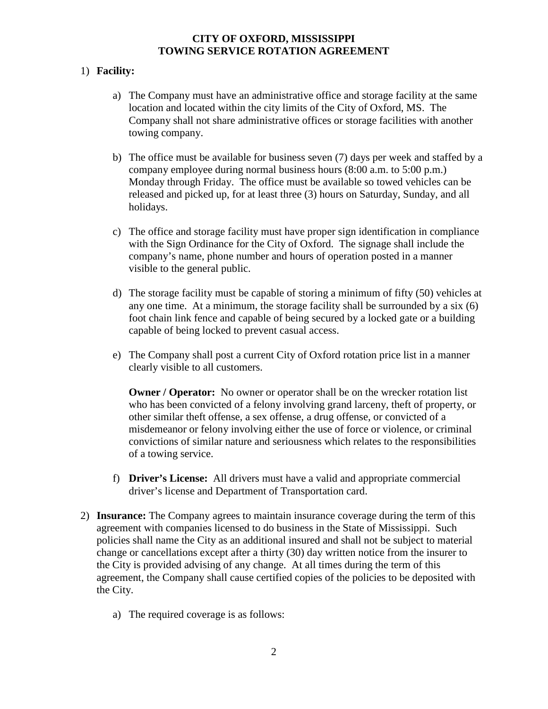## 1) **Facility:**

- a) The Company must have an administrative office and storage facility at the same location and located within the city limits of the City of Oxford, MS. The Company shall not share administrative offices or storage facilities with another towing company.
- b) The office must be available for business seven (7) days per week and staffed by a company employee during normal business hours (8:00 a.m. to 5:00 p.m.) Monday through Friday. The office must be available so towed vehicles can be released and picked up, for at least three (3) hours on Saturday, Sunday, and all holidays.
- c) The office and storage facility must have proper sign identification in compliance with the Sign Ordinance for the City of Oxford. The signage shall include the company's name, phone number and hours of operation posted in a manner visible to the general public.
- d) The storage facility must be capable of storing a minimum of fifty (50) vehicles at any one time. At a minimum, the storage facility shall be surrounded by a six (6) foot chain link fence and capable of being secured by a locked gate or a building capable of being locked to prevent casual access.
- e) The Company shall post a current City of Oxford rotation price list in a manner clearly visible to all customers.

**Owner / Operator:** No owner or operator shall be on the wrecker rotation list who has been convicted of a felony involving grand larceny, theft of property, or other similar theft offense, a sex offense, a drug offense, or convicted of a misdemeanor or felony involving either the use of force or violence, or criminal convictions of similar nature and seriousness which relates to the responsibilities of a towing service.

- f) **Driver's License:** All drivers must have a valid and appropriate commercial driver's license and Department of Transportation card.
- 2) **Insurance:** The Company agrees to maintain insurance coverage during the term of this agreement with companies licensed to do business in the State of Mississippi. Such policies shall name the City as an additional insured and shall not be subject to material change or cancellations except after a thirty (30) day written notice from the insurer to the City is provided advising of any change. At all times during the term of this agreement, the Company shall cause certified copies of the policies to be deposited with the City.
	- a) The required coverage is as follows: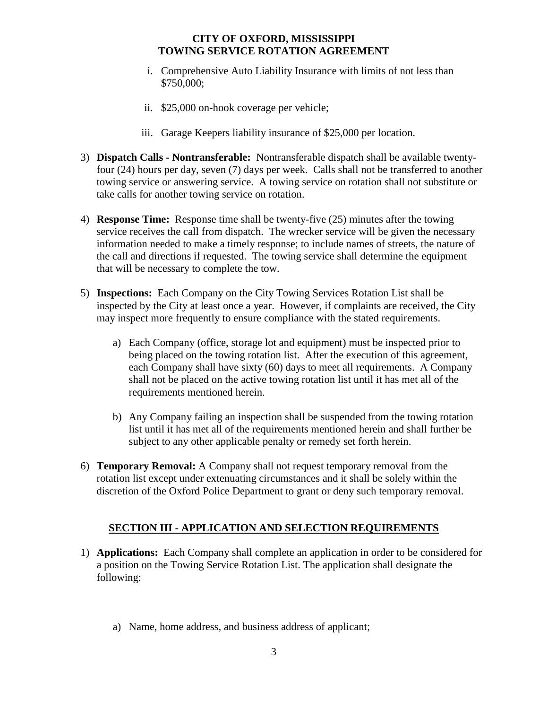- i. Comprehensive Auto Liability Insurance with limits of not less than \$750,000;
- ii. \$25,000 on-hook coverage per vehicle;
- iii. Garage Keepers liability insurance of \$25,000 per location.
- 3) **Dispatch Calls - Nontransferable:** Nontransferable dispatch shall be available twentyfour (24) hours per day, seven (7) days per week. Calls shall not be transferred to another towing service or answering service. A towing service on rotation shall not substitute or take calls for another towing service on rotation.
- 4) **Response Time:** Response time shall be twenty-five (25) minutes after the towing service receives the call from dispatch. The wrecker service will be given the necessary information needed to make a timely response; to include names of streets, the nature of the call and directions if requested. The towing service shall determine the equipment that will be necessary to complete the tow.
- 5) **Inspections:** Each Company on the City Towing Services Rotation List shall be inspected by the City at least once a year. However, if complaints are received, the City may inspect more frequently to ensure compliance with the stated requirements.
	- a) Each Company (office, storage lot and equipment) must be inspected prior to being placed on the towing rotation list. After the execution of this agreement, each Company shall have sixty (60) days to meet all requirements. A Company shall not be placed on the active towing rotation list until it has met all of the requirements mentioned herein.
	- b) Any Company failing an inspection shall be suspended from the towing rotation list until it has met all of the requirements mentioned herein and shall further be subject to any other applicable penalty or remedy set forth herein.
- 6) **Temporary Removal:** A Company shall not request temporary removal from the rotation list except under extenuating circumstances and it shall be solely within the discretion of the Oxford Police Department to grant or deny such temporary removal.

## **SECTION III - APPLICATION AND SELECTION REQUIREMENTS**

- 1) **Applications:** Each Company shall complete an application in order to be considered for a position on the Towing Service Rotation List. The application shall designate the following:
	- a) Name, home address, and business address of applicant;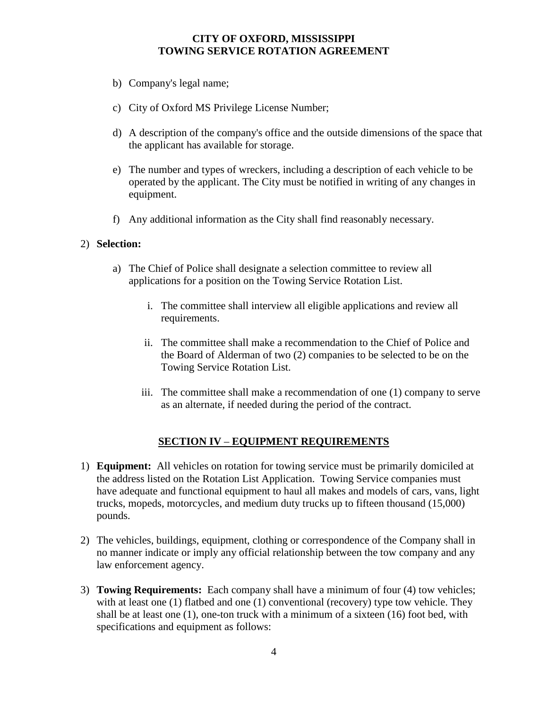- b) Company's legal name;
- c) City of Oxford MS Privilege License Number;
- d) A description of the company's office and the outside dimensions of the space that the applicant has available for storage.
- e) The number and types of wreckers, including a description of each vehicle to be operated by the applicant. The City must be notified in writing of any changes in equipment.
- f) Any additional information as the City shall find reasonably necessary.

#### 2) **Selection:**

- a) The Chief of Police shall designate a selection committee to review all applications for a position on the Towing Service Rotation List.
	- i. The committee shall interview all eligible applications and review all requirements.
	- ii. The committee shall make a recommendation to the Chief of Police and the Board of Alderman of two (2) companies to be selected to be on the Towing Service Rotation List.
	- iii. The committee shall make a recommendation of one (1) company to serve as an alternate, if needed during the period of the contract.

#### **SECTION IV** – **EQUIPMENT REQUIREMENTS**

- 1) **Equipment:** All vehicles on rotation for towing service must be primarily domiciled at the address listed on the Rotation List Application. Towing Service companies must have adequate and functional equipment to haul all makes and models of cars, vans, light trucks, mopeds, motorcycles, and medium duty trucks up to fifteen thousand (15,000) pounds.
- 2) The vehicles, buildings, equipment, clothing or correspondence of the Company shall in no manner indicate or imply any official relationship between the tow company and any law enforcement agency.
- 3) **Towing Requirements:** Each company shall have a minimum of four (4) tow vehicles; with at least one (1) flatbed and one (1) conventional (recovery) type tow vehicle. They shall be at least one (1), one-ton truck with a minimum of a sixteen (16) foot bed, with specifications and equipment as follows: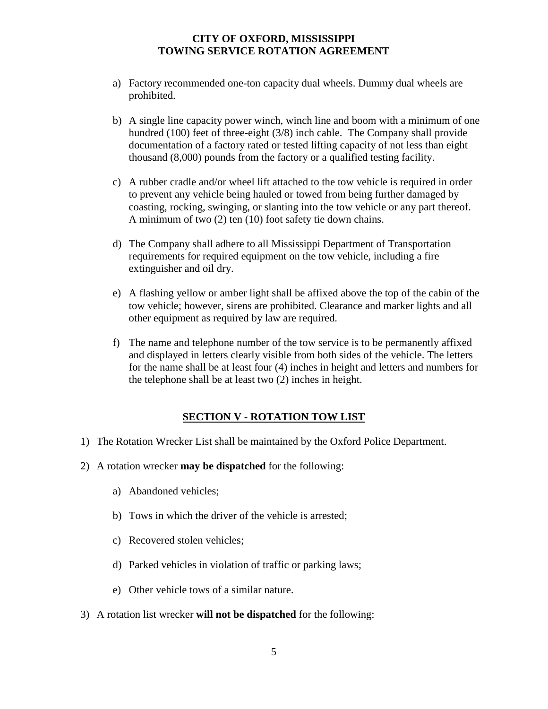- a) Factory recommended one-ton capacity dual wheels. Dummy dual wheels are prohibited.
- b) A single line capacity power winch, winch line and boom with a minimum of one hundred (100) feet of three-eight (3/8) inch cable. The Company shall provide documentation of a factory rated or tested lifting capacity of not less than eight thousand (8,000) pounds from the factory or a qualified testing facility.
- c) A rubber cradle and/or wheel lift attached to the tow vehicle is required in order to prevent any vehicle being hauled or towed from being further damaged by coasting, rocking, swinging, or slanting into the tow vehicle or any part thereof. A minimum of two (2) ten (10) foot safety tie down chains.
- d) The Company shall adhere to all Mississippi Department of Transportation requirements for required equipment on the tow vehicle, including a fire extinguisher and oil dry.
- e) A flashing yellow or amber light shall be affixed above the top of the cabin of the tow vehicle; however, sirens are prohibited. Clearance and marker lights and all other equipment as required by law are required.
- f) The name and telephone number of the tow service is to be permanently affixed and displayed in letters clearly visible from both sides of the vehicle. The letters for the name shall be at least four (4) inches in height and letters and numbers for the telephone shall be at least two (2) inches in height.

## **SECTION V - ROTATION TOW LIST**

- 1) The Rotation Wrecker List shall be maintained by the Oxford Police Department.
- 2) A rotation wrecker **may be dispatched** for the following:
	- a) Abandoned vehicles;
	- b) Tows in which the driver of the vehicle is arrested;
	- c) Recovered stolen vehicles;
	- d) Parked vehicles in violation of traffic or parking laws;
	- e) Other vehicle tows of a similar nature.
- 3) A rotation list wrecker **will not be dispatched** for the following: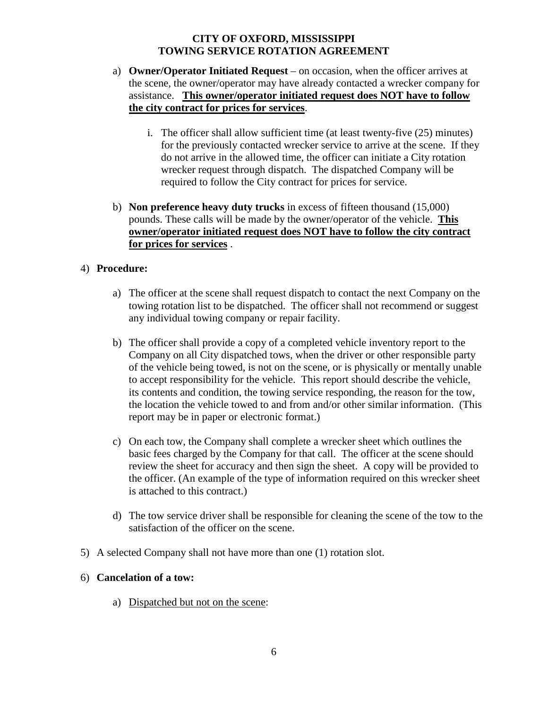- a) **Owner/Operator Initiated Request** on occasion, when the officer arrives at the scene, the owner/operator may have already contacted a wrecker company for assistance. **This owner/operator initiated request does NOT have to follow the city contract for prices for services**.
	- i. The officer shall allow sufficient time (at least twenty-five (25) minutes) for the previously contacted wrecker service to arrive at the scene. If they do not arrive in the allowed time, the officer can initiate a City rotation wrecker request through dispatch. The dispatched Company will be required to follow the City contract for prices for service.
- b) **Non preference heavy duty trucks** in excess of fifteen thousand (15,000) pounds. These calls will be made by the owner/operator of the vehicle. **This owner/operator initiated request does NOT have to follow the city contract for prices for services** .

## 4) **Procedure:**

- a) The officer at the scene shall request dispatch to contact the next Company on the towing rotation list to be dispatched. The officer shall not recommend or suggest any individual towing company or repair facility.
- b) The officer shall provide a copy of a completed vehicle inventory report to the Company on all City dispatched tows, when the driver or other responsible party of the vehicle being towed, is not on the scene, or is physically or mentally unable to accept responsibility for the vehicle. This report should describe the vehicle, its contents and condition, the towing service responding, the reason for the tow, the location the vehicle towed to and from and/or other similar information. (This report may be in paper or electronic format.)
- c) On each tow, the Company shall complete a wrecker sheet which outlines the basic fees charged by the Company for that call. The officer at the scene should review the sheet for accuracy and then sign the sheet. A copy will be provided to the officer. (An example of the type of information required on this wrecker sheet is attached to this contract.)
- d) The tow service driver shall be responsible for cleaning the scene of the tow to the satisfaction of the officer on the scene.
- 5) A selected Company shall not have more than one (1) rotation slot.

#### 6) **Cancelation of a tow:**

a) Dispatched but not on the scene: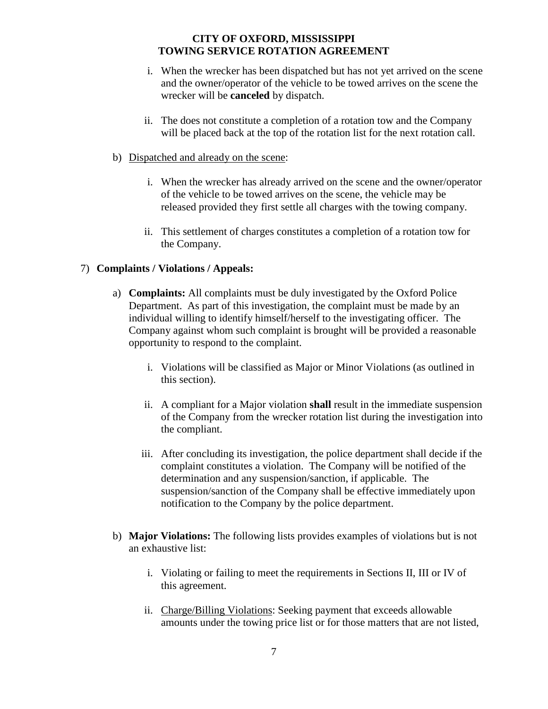- i. When the wrecker has been dispatched but has not yet arrived on the scene and the owner/operator of the vehicle to be towed arrives on the scene the wrecker will be **canceled** by dispatch.
- ii. The does not constitute a completion of a rotation tow and the Company will be placed back at the top of the rotation list for the next rotation call.
- b) Dispatched and already on the scene:
	- i. When the wrecker has already arrived on the scene and the owner/operator of the vehicle to be towed arrives on the scene, the vehicle may be released provided they first settle all charges with the towing company.
	- ii. This settlement of charges constitutes a completion of a rotation tow for the Company.

#### 7) **Complaints / Violations / Appeals:**

- a) **Complaints:** All complaints must be duly investigated by the Oxford Police Department. As part of this investigation, the complaint must be made by an individual willing to identify himself/herself to the investigating officer. The Company against whom such complaint is brought will be provided a reasonable opportunity to respond to the complaint.
	- i. Violations will be classified as Major or Minor Violations (as outlined in this section).
	- ii. A compliant for a Major violation **shall** result in the immediate suspension of the Company from the wrecker rotation list during the investigation into the compliant.
	- iii. After concluding its investigation, the police department shall decide if the complaint constitutes a violation. The Company will be notified of the determination and any suspension/sanction, if applicable. The suspension/sanction of the Company shall be effective immediately upon notification to the Company by the police department.
- b) **Major Violations:** The following lists provides examples of violations but is not an exhaustive list:
	- i. Violating or failing to meet the requirements in Sections II, III or IV of this agreement.
	- ii. Charge/Billing Violations: Seeking payment that exceeds allowable amounts under the towing price list or for those matters that are not listed,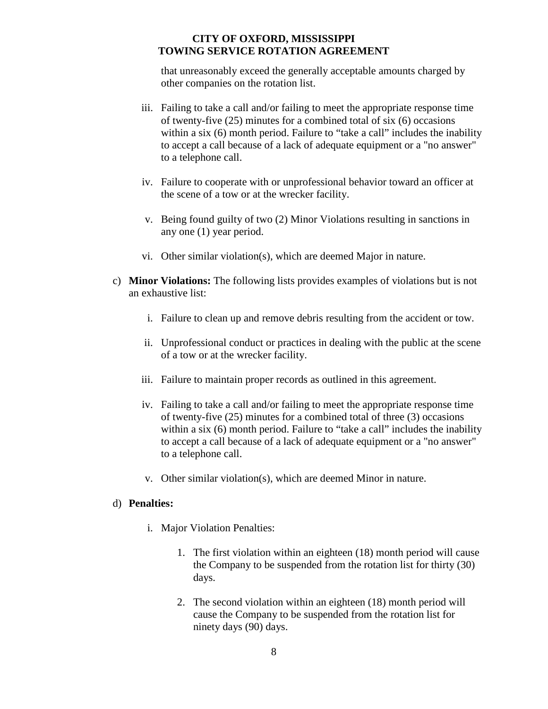that unreasonably exceed the generally acceptable amounts charged by other companies on the rotation list.

- iii. Failing to take a call and/or failing to meet the appropriate response time of twenty-five (25) minutes for a combined total of six (6) occasions within a six (6) month period. Failure to "take a call" includes the inability to accept a call because of a lack of adequate equipment or a "no answer" to a telephone call.
- iv. Failure to cooperate with or unprofessional behavior toward an officer at the scene of a tow or at the wrecker facility.
- v. Being found guilty of two (2) Minor Violations resulting in sanctions in any one (1) year period.
- vi. Other similar violation(s), which are deemed Major in nature.
- c) **Minor Violations:** The following lists provides examples of violations but is not an exhaustive list:
	- i. Failure to clean up and remove debris resulting from the accident or tow.
	- ii. Unprofessional conduct or practices in dealing with the public at the scene of a tow or at the wrecker facility.
	- iii. Failure to maintain proper records as outlined in this agreement.
	- iv. Failing to take a call and/or failing to meet the appropriate response time of twenty-five (25) minutes for a combined total of three (3) occasions within a six (6) month period. Failure to "take a call" includes the inability to accept a call because of a lack of adequate equipment or a "no answer" to a telephone call.
	- v. Other similar violation(s), which are deemed Minor in nature.

#### d) **Penalties:**

- i. Major Violation Penalties:
	- 1. The first violation within an eighteen (18) month period will cause the Company to be suspended from the rotation list for thirty (30) days.
	- 2. The second violation within an eighteen (18) month period will cause the Company to be suspended from the rotation list for ninety days (90) days.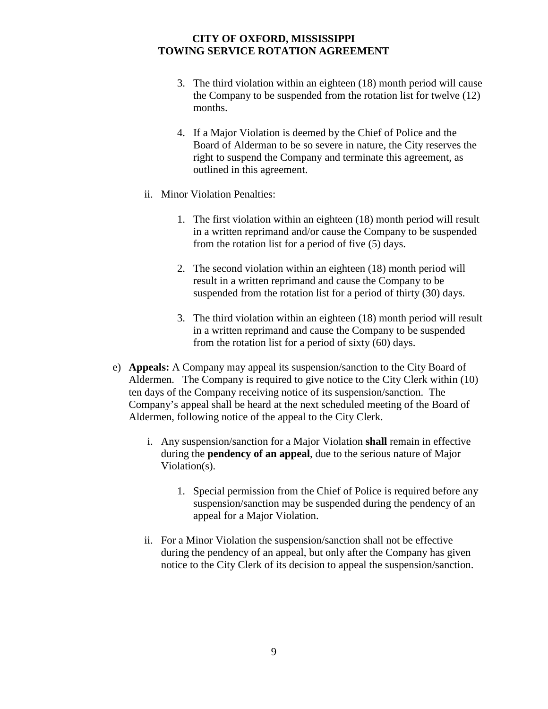- 3. The third violation within an eighteen (18) month period will cause the Company to be suspended from the rotation list for twelve (12) months.
- 4. If a Major Violation is deemed by the Chief of Police and the Board of Alderman to be so severe in nature, the City reserves the right to suspend the Company and terminate this agreement, as outlined in this agreement.
- ii. Minor Violation Penalties:
	- 1. The first violation within an eighteen (18) month period will result in a written reprimand and/or cause the Company to be suspended from the rotation list for a period of five (5) days.
	- 2. The second violation within an eighteen (18) month period will result in a written reprimand and cause the Company to be suspended from the rotation list for a period of thirty (30) days.
	- 3. The third violation within an eighteen (18) month period will result in a written reprimand and cause the Company to be suspended from the rotation list for a period of sixty (60) days.
- e) **Appeals:** A Company may appeal its suspension/sanction to the City Board of Aldermen. The Company is required to give notice to the City Clerk within (10) ten days of the Company receiving notice of its suspension/sanction. The Company's appeal shall be heard at the next scheduled meeting of the Board of Aldermen, following notice of the appeal to the City Clerk.
	- i. Any suspension/sanction for a Major Violation **shall** remain in effective during the **pendency of an appeal**, due to the serious nature of Major Violation(s).
		- 1. Special permission from the Chief of Police is required before any suspension/sanction may be suspended during the pendency of an appeal for a Major Violation.
	- ii. For a Minor Violation the suspension/sanction shall not be effective during the pendency of an appeal, but only after the Company has given notice to the City Clerk of its decision to appeal the suspension/sanction.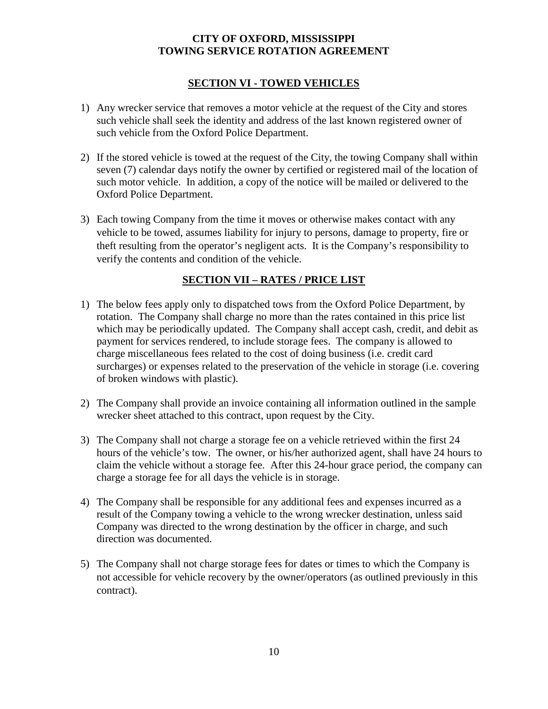## **SECTION VI - TOWED VEHICLES**

- 1) Any wrecker service that removes a motor vehicle at the request of the City and stores such vehicle shall seek the identity and address of the last known registered owner of such vehicle from the Oxford Police Department.
- 2) If the stored vehicle is towed at the request of the City, the towing Company shall within seven (7) calendar days notify the owner by certified or registered mail of the location of such motor vehicle. In addition, a copy of the notice will be mailed or delivered to the Oxford Police Department.
- 3) Each towing Company from the time it moves or otherwise makes contact with any vehicle to be towed, assumes liability for injury to persons, damage to property, fire or theft resulting from the operator's negligent acts. It is the Company's responsibility to verify the contents and condition of the vehicle.

## **SECTION VII – RATES / PRICE LIST**

- 1) The below fees apply only to dispatched tows from the Oxford Police Department, by rotation. The Company shall charge no more than the rates contained in this price list which may be periodically updated. The Company shall accept cash, credit, and debit as payment for services rendered, to include storage fees. The company is allowed to charge miscellaneous fees related to the cost of doing business (i.e. credit card surcharges) or expenses related to the preservation of the vehicle in storage (i.e. covering of broken windows with plastic).
- 2) The Company shall provide an invoice containing all information outlined in the sample wrecker sheet attached to this contract, upon request by the City.
- 3) The Company shall not charge a storage fee on a vehicle retrieved within the first 24 hours of the vehicle's tow. The owner, or his/her authorized agent, shall have 24 hours to claim the vehicle without a storage fee. After this 24-hour grace period, the company can charge a storage fee for all days the vehicle is in storage.
- 4) The Company shall be responsible for any additional fees and expenses incurred as a result of the Company towing a vehicle to the wrong wrecker destination, unless said Company was directed to the wrong destination by the officer in charge, and such direction was documented.
- 5) The Company shall not charge storage fees for dates or times to which the Company is not accessible for vehicle recovery by the owner/operators (as outlined previously in this contract).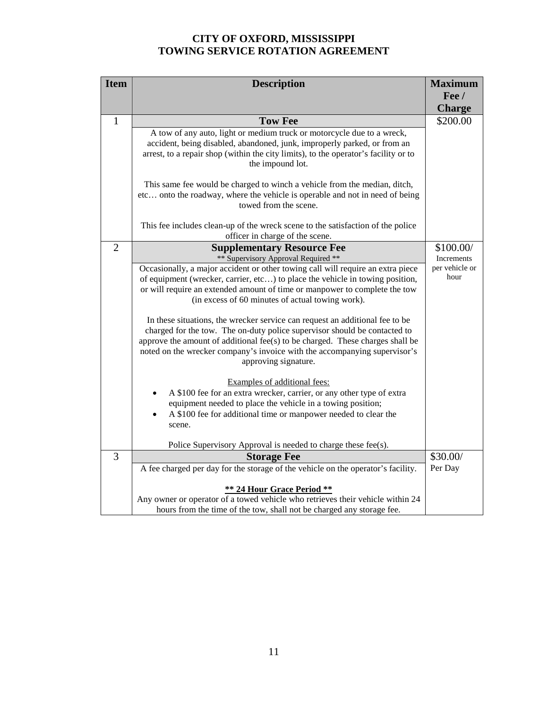| <b>Item</b>    | <b>Description</b>                                                                                                                                                                                                                                                                                                                              | <b>Maximum</b>         |
|----------------|-------------------------------------------------------------------------------------------------------------------------------------------------------------------------------------------------------------------------------------------------------------------------------------------------------------------------------------------------|------------------------|
|                |                                                                                                                                                                                                                                                                                                                                                 | $\text{Fe}$ /          |
|                |                                                                                                                                                                                                                                                                                                                                                 | <b>Charge</b>          |
| 1              | <b>Tow Fee</b>                                                                                                                                                                                                                                                                                                                                  | \$200.00               |
|                | A tow of any auto, light or medium truck or motorcycle due to a wreck,<br>accident, being disabled, abandoned, junk, improperly parked, or from an<br>arrest, to a repair shop (within the city limits), to the operator's facility or to<br>the impound lot.                                                                                   |                        |
|                | This same fee would be charged to winch a vehicle from the median, ditch,<br>etc onto the roadway, where the vehicle is operable and not in need of being<br>towed from the scene.                                                                                                                                                              |                        |
|                | This fee includes clean-up of the wreck scene to the satisfaction of the police<br>officer in charge of the scene.                                                                                                                                                                                                                              |                        |
| $\overline{2}$ | <b>Supplementary Resource Fee</b>                                                                                                                                                                                                                                                                                                               | \$100.00/              |
|                | ** Supervisory Approval Required **                                                                                                                                                                                                                                                                                                             | Increments             |
|                | Occasionally, a major accident or other towing call will require an extra piece<br>of equipment (wrecker, carrier, etc) to place the vehicle in towing position,<br>or will require an extended amount of time or manpower to complete the tow<br>(in excess of 60 minutes of actual towing work).                                              | per vehicle or<br>hour |
|                | In these situations, the wrecker service can request an additional fee to be<br>charged for the tow. The on-duty police supervisor should be contacted to<br>approve the amount of additional fee(s) to be charged. These charges shall be<br>noted on the wrecker company's invoice with the accompanying supervisor's<br>approving signature. |                        |
|                | Examples of additional fees:<br>A \$100 fee for an extra wrecker, carrier, or any other type of extra<br>equipment needed to place the vehicle in a towing position;<br>A \$100 fee for additional time or manpower needed to clear the<br>scene.                                                                                               |                        |
|                | Police Supervisory Approval is needed to charge these fee(s).                                                                                                                                                                                                                                                                                   |                        |
| 3              | <b>Storage Fee</b>                                                                                                                                                                                                                                                                                                                              | \$30.00/               |
|                | A fee charged per day for the storage of the vehicle on the operator's facility.                                                                                                                                                                                                                                                                | Per Day                |
|                | ** 24 Hour Grace Period **<br>Any owner or operator of a towed vehicle who retrieves their vehicle within 24<br>hours from the time of the tow, shall not be charged any storage fee.                                                                                                                                                           |                        |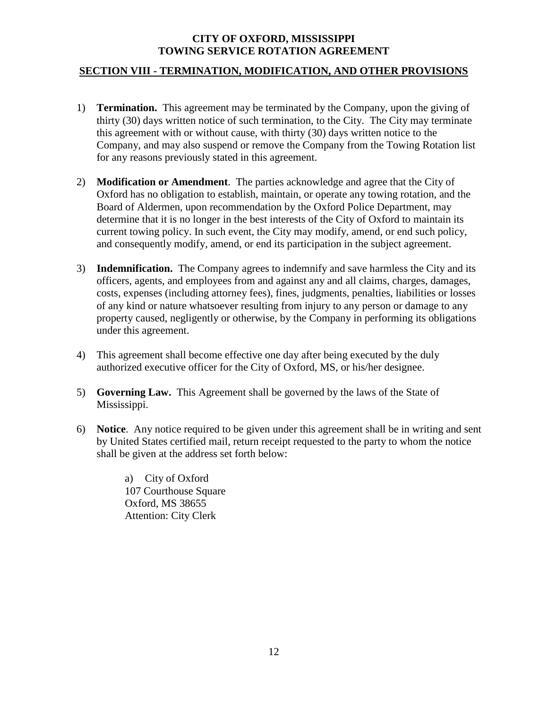## **SECTION VIII - TERMINATION, MODIFICATION, AND OTHER PROVISIONS**

- 1) **Termination.** This agreement may be terminated by the Company, upon the giving of thirty (30) days written notice of such termination, to the City. The City may terminate this agreement with or without cause, with thirty (30) days written notice to the Company, and may also suspend or remove the Company from the Towing Rotation list for any reasons previously stated in this agreement.
- 2) **Modification or Amendment**. The parties acknowledge and agree that the City of Oxford has no obligation to establish, maintain, or operate any towing rotation, and the Board of Aldermen, upon recommendation by the Oxford Police Department, may determine that it is no longer in the best interests of the City of Oxford to maintain its current towing policy. In such event, the City may modify, amend, or end such policy, and consequently modify, amend, or end its participation in the subject agreement.
- 3) **Indemnification.** The Company agrees to indemnify and save harmless the City and its officers, agents, and employees from and against any and all claims, charges, damages, costs, expenses (including attorney fees), fines, judgments, penalties, liabilities or losses of any kind or nature whatsoever resulting from injury to any person or damage to any property caused, negligently or otherwise, by the Company in performing its obligations under this agreement.
- 4) This agreement shall become effective one day after being executed by the duly authorized executive officer for the City of Oxford, MS, or his/her designee.
- 5) **Governing Law.** This Agreement shall be governed by the laws of the State of Mississippi.
- 6) **Notice**. Any notice required to be given under this agreement shall be in writing and sent by United States certified mail, return receipt requested to the party to whom the notice shall be given at the address set forth below:

a) City of Oxford 107 Courthouse Square Oxford, MS 38655 Attention: City Clerk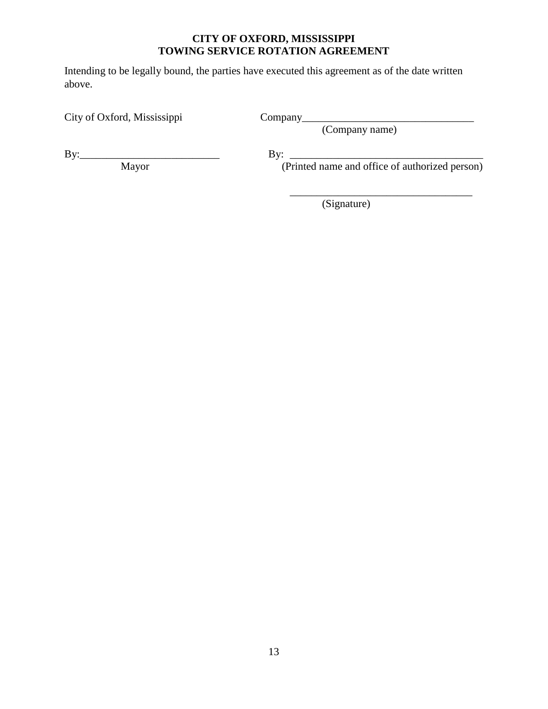Intending to be legally bound, the parties have executed this agreement as of the date written above.

City of Oxford, Mississippi Company\_\_\_\_\_\_\_\_\_\_\_\_\_\_\_\_\_\_\_\_\_\_\_\_\_\_\_\_\_\_\_\_

(Company name)

By:\_\_\_\_\_\_\_\_\_\_\_\_\_\_\_\_\_\_\_\_\_\_\_\_\_\_ By: \_\_\_\_\_\_\_\_\_\_\_\_\_\_\_\_\_\_\_\_\_\_\_\_\_\_\_\_\_\_\_\_\_\_\_\_

Mayor (Printed name and office of authorized person)

\_\_\_\_\_\_\_\_\_\_\_\_\_\_\_\_\_\_\_\_\_\_\_\_\_\_\_\_\_\_\_\_\_\_

(Signature)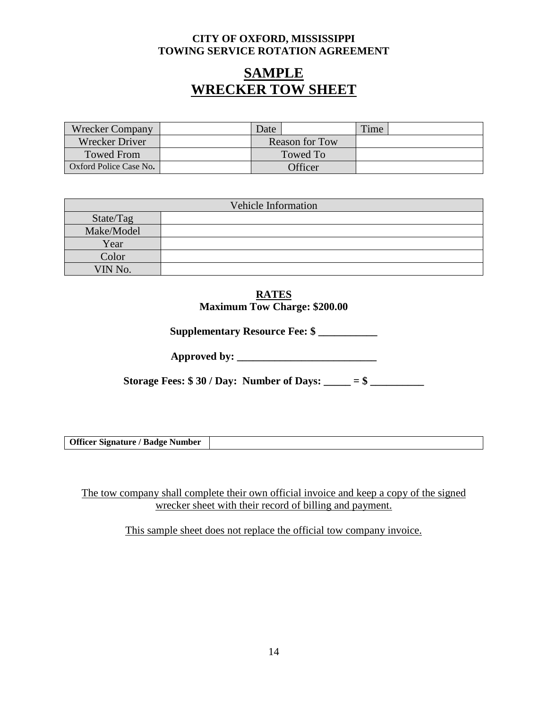# **SAMPLE WRECKER TOW SHEET**

| <b>Wrecker Company</b> |                       | Date    | Time. |  |
|------------------------|-----------------------|---------|-------|--|
| <b>Wrecker Driver</b>  | <b>Reason for Tow</b> |         |       |  |
| <b>Towed From</b>      | Towed To              |         |       |  |
| Oxford Police Case No. |                       | Officer |       |  |

| Vehicle Information |  |  |
|---------------------|--|--|
| State/Tag           |  |  |
| Make/Model          |  |  |
| Year                |  |  |
| Color               |  |  |
| VIN No.             |  |  |

#### **RATES Maximum Tow Charge: \$200.00**

**Supplementary Resource Fee: \$ \_\_\_\_\_\_\_\_\_\_\_**

**Approved by: \_\_\_\_\_\_\_\_\_\_\_\_\_\_\_\_\_\_\_\_\_\_\_\_\_\_**

**Storage Fees: \$ 30 / Day: Number of Days: \_\_\_\_\_ = \$ \_\_\_\_\_\_\_\_\_\_**

**Officer Signature / Badge Number**

The tow company shall complete their own official invoice and keep a copy of the signed wrecker sheet with their record of billing and payment.

This sample sheet does not replace the official tow company invoice.